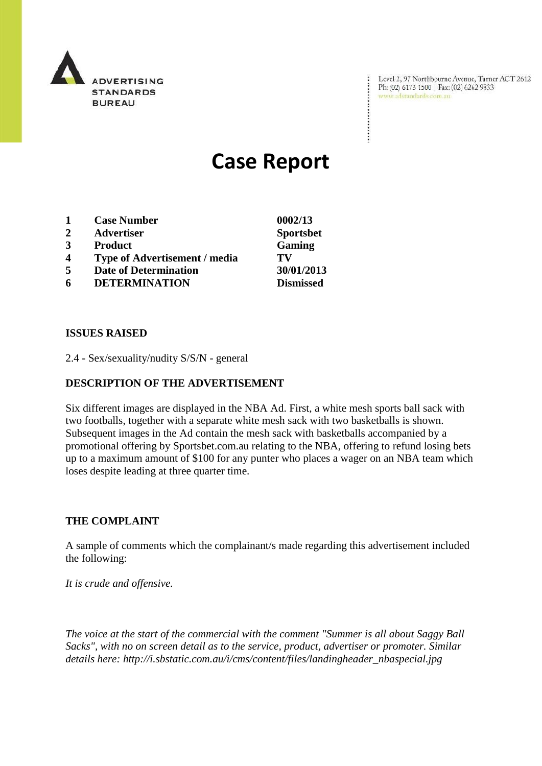

Level 2, 97 Northbourne Avenue, Turner ACT 2612 Ph: (02) 6173 1500 | Fax: (02) 6262 9833 www.adstandards.com.au

÷

# **Case Report**

|                | <b>Case Number</b>                   | 0002/13          |
|----------------|--------------------------------------|------------------|
| $\overline{2}$ | <b>Advertiser</b>                    | <b>Sportsbet</b> |
| 3              | <b>Product</b>                       | Gaming           |
| 4              | <b>Type of Advertisement / media</b> | TV               |
| 5              | <b>Date of Determination</b>         | 30/01/2013       |
| 6              | <b>DETERMINATION</b>                 | <b>Dismissed</b> |

#### **ISSUES RAISED**

2.4 - Sex/sexuality/nudity S/S/N - general

#### **DESCRIPTION OF THE ADVERTISEMENT**

Six different images are displayed in the NBA Ad. First, a white mesh sports ball sack with two footballs, together with a separate white mesh sack with two basketballs is shown. Subsequent images in the Ad contain the mesh sack with basketballs accompanied by a promotional offering by Sportsbet.com.au relating to the NBA, offering to refund losing bets up to a maximum amount of \$100 for any punter who places a wager on an NBA team which loses despite leading at three quarter time.

#### **THE COMPLAINT**

A sample of comments which the complainant/s made regarding this advertisement included the following:

*It is crude and offensive.*

*The voice at the start of the commercial with the comment "Summer is all about Saggy Ball Sacks", with no on screen detail as to the service, product, advertiser or promoter. Similar details here: http://i.sbstatic.com.au/i/cms/content/files/landingheader\_nbaspecial.jpg*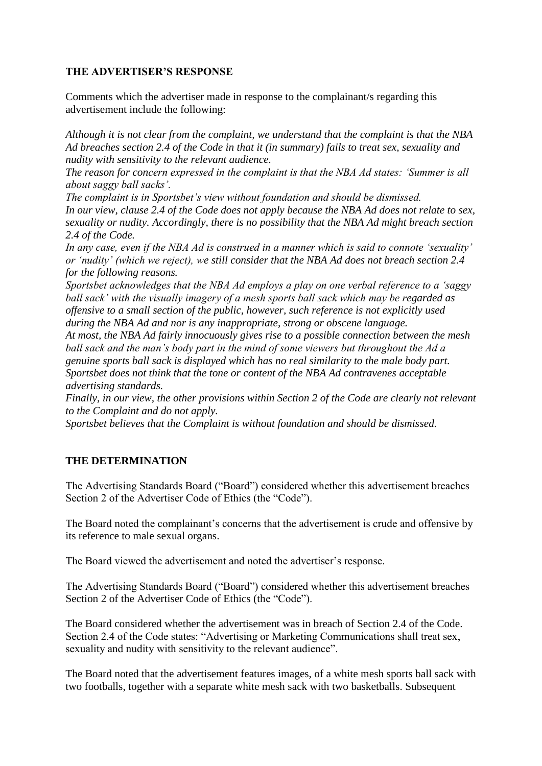## **THE ADVERTISER'S RESPONSE**

Comments which the advertiser made in response to the complainant/s regarding this advertisement include the following:

*Although it is not clear from the complaint, we understand that the complaint is that the NBA Ad breaches section 2.4 of the Code in that it (in summary) fails to treat sex, sexuality and nudity with sensitivity to the relevant audience.*

*The reason for concern expressed in the complaint is that the NBA Ad states: 'Summer is all about saggy ball sacks'.*

*The complaint is in Sportsbet's view without foundation and should be dismissed. In our view, clause 2.4 of the Code does not apply because the NBA Ad does not relate to sex, sexuality or nudity. Accordingly, there is no possibility that the NBA Ad might breach section 2.4 of the Code.*

*In any case, even if the NBA Ad is construed in a manner which is said to connote 'sexuality' or 'nudity' (which we reject), we still consider that the NBA Ad does not breach section 2.4 for the following reasons.*

*Sportsbet acknowledges that the NBA Ad employs a play on one verbal reference to a 'saggy ball sack' with the visually imagery of a mesh sports ball sack which may be regarded as offensive to a small section of the public, however, such reference is not explicitly used during the NBA Ad and nor is any inappropriate, strong or obscene language.*

*At most, the NBA Ad fairly innocuously gives rise to a possible connection between the mesh ball sack and the man's body part in the mind of some viewers but throughout the Ad a genuine sports ball sack is displayed which has no real similarity to the male body part. Sportsbet does not think that the tone or content of the NBA Ad contravenes acceptable advertising standards.*

*Finally, in our view, the other provisions within Section 2 of the Code are clearly not relevant to the Complaint and do not apply.*

*Sportsbet believes that the Complaint is without foundation and should be dismissed.*

### **THE DETERMINATION**

The Advertising Standards Board ("Board") considered whether this advertisement breaches Section 2 of the Advertiser Code of Ethics (the "Code").

The Board noted the complainant's concerns that the advertisement is crude and offensive by its reference to male sexual organs.

The Board viewed the advertisement and noted the advertiser"s response.

The Advertising Standards Board ("Board") considered whether this advertisement breaches Section 2 of the Advertiser Code of Ethics (the "Code").

The Board considered whether the advertisement was in breach of Section 2.4 of the Code. Section 2.4 of the Code states: "Advertising or Marketing Communications shall treat sex, sexuality and nudity with sensitivity to the relevant audience".

The Board noted that the advertisement features images, of a white mesh sports ball sack with two footballs, together with a separate white mesh sack with two basketballs. Subsequent